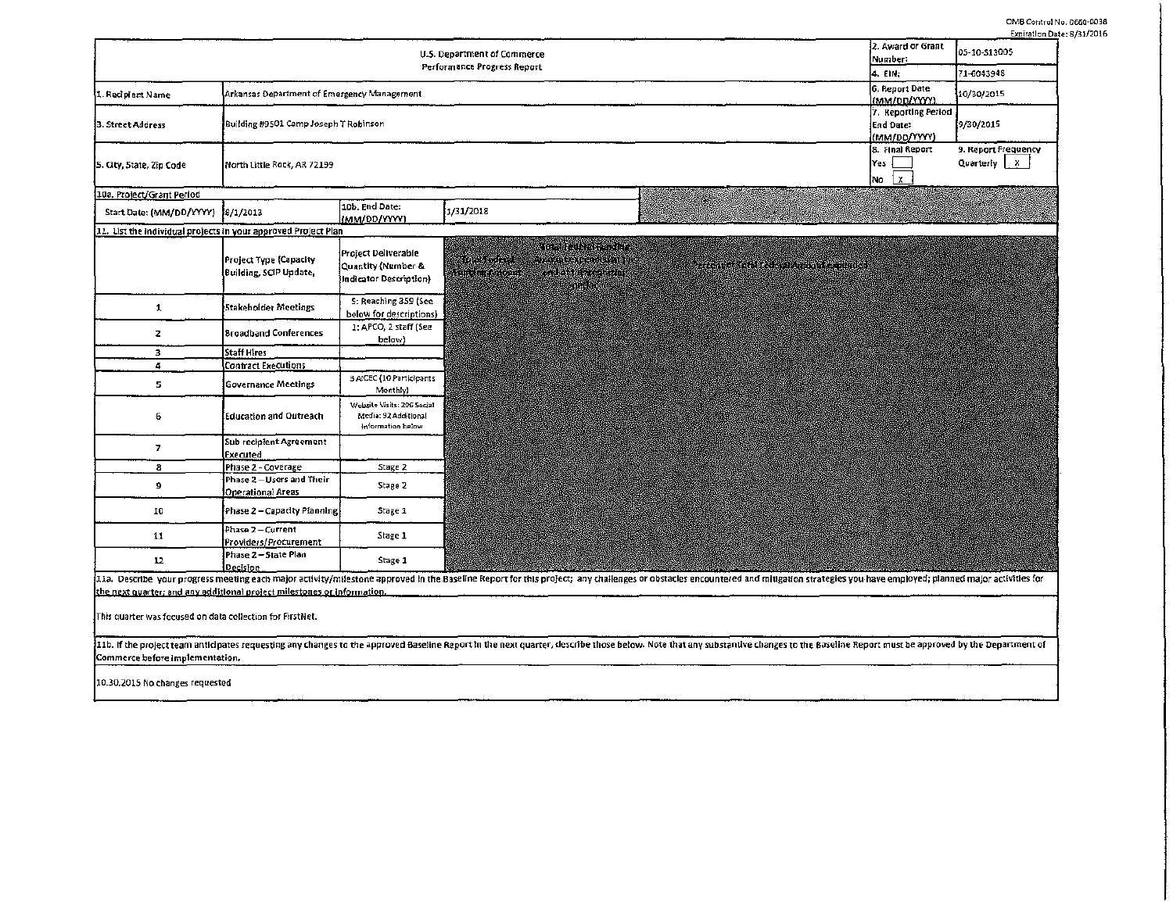OMB Control No. 0660-0038 Expiration Date: 8/31/2016

|                                                                         |                                                         |                                                                         | 2. Award or Grant<br>U.S. Department of Commerce<br>Number:<br>Performance Progress Report<br>4. EIN;                                                                                                                             | expiration pate<br>05-10-513005<br>71-6043948    |
|-------------------------------------------------------------------------|---------------------------------------------------------|-------------------------------------------------------------------------|-----------------------------------------------------------------------------------------------------------------------------------------------------------------------------------------------------------------------------------|--------------------------------------------------|
| 1. Recipient Name                                                       | Arkansas Department of Emergency Management             |                                                                         | 6. Report Date<br>(MM/DD/YYYY)                                                                                                                                                                                                    | 10/30/2015                                       |
| 3. Street Address                                                       | Building #9501 Camp Joseph T Robinson                   |                                                                         | 7. Reporting Period<br>End Date:<br>(MM/DO/VYYY)                                                                                                                                                                                  | 9/30/2015                                        |
| [5. City, State, Zip Code]                                              | North Little Rock, AR 72199                             |                                                                         | 8. Final Report<br>Yes<br>$\mathbf{x}$<br>No                                                                                                                                                                                      | 9. Report Frequency<br>Quarterly $\vert x \vert$ |
| 10a. Project/Grant Period                                               |                                                         |                                                                         |                                                                                                                                                                                                                                   |                                                  |
| Start Date: (MM/DD/YYYY) 8/1/2013                                       |                                                         | 10b. End Date:<br>(MM/DD/YYYY)                                          | 1/31/2018                                                                                                                                                                                                                         |                                                  |
| 11. List the individual projects in your approved Project Plan          |                                                         |                                                                         |                                                                                                                                                                                                                                   |                                                  |
|                                                                         | <b>Project Type (Capacity</b><br>Building, SCIP Update, | Project Deliverable<br>Quantity (Number &<br>Indicator Description)     | <u>standardin m</u><br><u>Martin Ste</u><br>a digestion and the state<br>a alban a shekar<br>William Andrews<br>en grad                                                                                                           |                                                  |
| 1                                                                       | Stakeholder Meetings                                    | S: Reaching 359 (See<br>below for descriptions)                         |                                                                                                                                                                                                                                   |                                                  |
| $\mathbf{z}$                                                            | <b>Broadband Conferences</b>                            | 1: APCO, 2 staff (See<br>below)                                         |                                                                                                                                                                                                                                   |                                                  |
| 3                                                                       | <b>Staff Hires</b>                                      |                                                                         |                                                                                                                                                                                                                                   |                                                  |
| $\tilde{\mathbf{q}}$                                                    | <b>Contract Executions</b>                              |                                                                         |                                                                                                                                                                                                                                   |                                                  |
| 5                                                                       | <b>Governance Meetings</b>                              | 3 AICEC (10 Participants<br>Monthly)                                    |                                                                                                                                                                                                                                   |                                                  |
| 6                                                                       | Education and Outreach                                  | Website Visits: 206 Social<br>Media: 92 Additional<br>Information below |                                                                                                                                                                                                                                   |                                                  |
| 7                                                                       | Sub recipient Agreement<br>Executed                     |                                                                         |                                                                                                                                                                                                                                   |                                                  |
| 8                                                                       | Phase 2 - Coverage                                      | Stage 2                                                                 |                                                                                                                                                                                                                                   |                                                  |
| 9                                                                       | Phase 2-Users and Their<br>Operational Areas            | Stage 2                                                                 |                                                                                                                                                                                                                                   |                                                  |
| 10                                                                      | Phase 2 - Capacity Planning                             | Stage 1                                                                 |                                                                                                                                                                                                                                   |                                                  |
| 11                                                                      | Phase 2 - Current<br>Providers/Procurement              | Stage 1                                                                 |                                                                                                                                                                                                                                   |                                                  |
| 12                                                                      | Phase 2-State Plan<br>Decision                          | Stage 1                                                                 |                                                                                                                                                                                                                                   |                                                  |
| the next quarter; and any additional project milestones or information. |                                                         |                                                                         | .<br>111a. Describe your progress meeting each major activity/milestone approved in the Baseline Report for this project; any challenges or obstacles encountered and mitigation strategies you have employed; planned major acti |                                                  |
| This quarter was focused on data collection for FirstNet.               |                                                         |                                                                         |                                                                                                                                                                                                                                   |                                                  |
| Commerce before implementation.                                         |                                                         |                                                                         | 11b. If the project team anticipates requesting any changes to the approved Baseline Report in the next quarter, describe those below. Note that any substantive changes to the Baseline Report must be approved by the Depart    |                                                  |
| 10.30.2015 No changes requested                                         |                                                         |                                                                         |                                                                                                                                                                                                                                   |                                                  |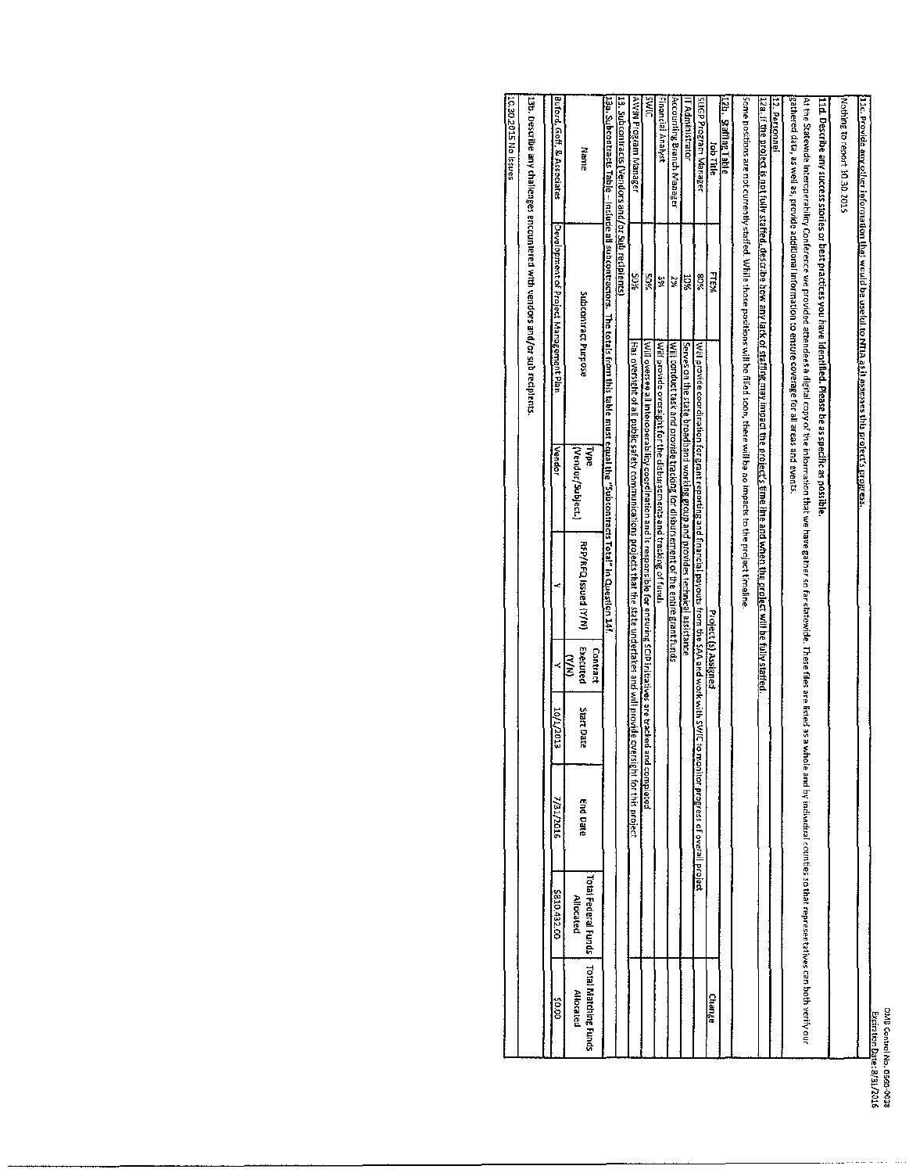| ĺ<br>ă<br>Date<br>Š | a<br>Mu<br>È<br>니 No.<br><b>1660-0038</b> |
|---------------------|-------------------------------------------|
| Z316                |                                           |
|                     |                                           |

|                                   |                                         |                                     |                   |                           |                                                                                                                |                           |                                                                                                                                                                                                                                                                                                                                        |                                         | 13b. Describe any challenges encountered with vendors and/or sub recipients. |
|-----------------------------------|-----------------------------------------|-------------------------------------|-------------------|---------------------------|----------------------------------------------------------------------------------------------------------------|---------------------------|----------------------------------------------------------------------------------------------------------------------------------------------------------------------------------------------------------------------------------------------------------------------------------------------------------------------------------------|-----------------------------------------|------------------------------------------------------------------------------|
| 00'0\$                            | \$810,432.00                            | 7/31/2016                           | ετρε/τ/οτ         |                           |                                                                                                                | Vendor                    |                                                                                                                                                                                                                                                                                                                                        | :Development of Project Management Plan | Buford, Goff, & Associates                                                   |
| Total Matching Funds<br>Allocated | Total Federal Funds<br><b>Altacated</b> | End Date                            | <b>Start Date</b> | Executed<br>Contract<br>ξ | RFP/RFQ Issued (Y/N)                                                                                           | (Vendor/Subject.)<br>iype | Subcontract Purpose                                                                                                                                                                                                                                                                                                                    |                                         | Name                                                                         |
|                                   |                                         |                                     |                   |                           |                                                                                                                |                           | <u>13a. Subcontracts Table – Indude all subcontractors. The totals from this table must equal the "Subcontracts Total" in Question 14f.</u>                                                                                                                                                                                            |                                         |                                                                              |
|                                   |                                         |                                     |                   |                           |                                                                                                                |                           |                                                                                                                                                                                                                                                                                                                                        |                                         | 13. Subcontracts (Vendors and/or Su <u>b re</u> cipients)                    |
|                                   |                                         | rsight for this project             |                   |                           | l Has oversight of all public safety communications projects that the state undertakes and will provide ove    |                           |                                                                                                                                                                                                                                                                                                                                        | <b>AGS</b>                              | AWIN Program Manager                                                         |
|                                   |                                         | nd completed                        |                   |                           | [Will oversee all interoperability coordination and is responsible for ensuring SCIP initiatives are tracked a |                           |                                                                                                                                                                                                                                                                                                                                        | šos                                     | <b>DIME</b>                                                                  |
|                                   |                                         |                                     |                   |                           |                                                                                                                |                           | Will provide oversight for the disbursements and tracking of funds                                                                                                                                                                                                                                                                     | 쓽                                       | Financial Analyst                                                            |
|                                   |                                         |                                     |                   |                           | Will conduct task and provide tracking for disbursement of the entire grant funds                              |                           |                                                                                                                                                                                                                                                                                                                                        | 엹                                       | Accounting Branch Manager                                                    |
|                                   |                                         |                                     |                   |                           | Serves on the state broadband working group and provides technical assistance                                  |                           |                                                                                                                                                                                                                                                                                                                                        | XOX                                     | IT Administrator                                                             |
|                                   |                                         | monitor progress of overall project |                   |                           | Will provide coordination for grant reporting and financial payouts from the SAA and work with SWIC to it is t |                           |                                                                                                                                                                                                                                                                                                                                        | %08                                     | SuGP Program Manager                                                         |
| Change                            |                                         |                                     |                   | Project (s) Assigned      |                                                                                                                |                           |                                                                                                                                                                                                                                                                                                                                        | FTE%                                    | lob Title                                                                    |
|                                   |                                         |                                     |                   |                           |                                                                                                                |                           |                                                                                                                                                                                                                                                                                                                                        |                                         | 12b. Safflog Table                                                           |
|                                   |                                         |                                     |                   |                           |                                                                                                                |                           | Some positions are not currently staffed. While those positions will be filled soon, there will be a impacts to the project timeline                                                                                                                                                                                                   |                                         |                                                                              |
|                                   |                                         |                                     |                   |                           |                                                                                                                |                           | 12a. if the project is not fully staffed. describe bow any lack of staffing may impact the project's fime impact the project will be fully staffied.                                                                                                                                                                                   |                                         |                                                                              |
|                                   |                                         |                                     |                   |                           |                                                                                                                |                           |                                                                                                                                                                                                                                                                                                                                        |                                         | 12. Personne                                                                 |
|                                   |                                         |                                     |                   |                           |                                                                                                                |                           | gathered data, as well as, provide additional information to ensure coverage for all areas and events<br>At the Statewide Interperability Conferent areas a digital copy of the information that we have gabler so in the state integ as a whole and by individal counties so that representatives can both yerrives can both yerrives |                                         |                                                                              |
|                                   |                                         |                                     |                   |                           |                                                                                                                |                           | 11d. Describe any success stories or best practices you have identified. Please be as specific as possible                                                                                                                                                                                                                             |                                         |                                                                              |
|                                   |                                         |                                     |                   |                           |                                                                                                                |                           |                                                                                                                                                                                                                                                                                                                                        |                                         | Nothing to report 10.30.2015                                                 |
|                                   |                                         |                                     |                   |                           |                                                                                                                |                           | 11c. Provide any other information that would be useful to NTIA as it essesses this profect's progress.                                                                                                                                                                                                                                |                                         |                                                                              |

sanssi on STOZOE OT